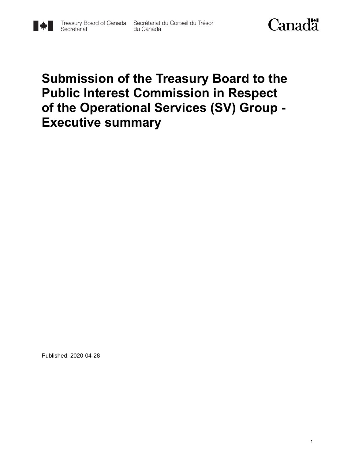

## **Submission of the Treasury Board to the Public Interest Commission in Respect of the Operational Services (SV) Group - Executive summary**

Published: 2020-04-28

▌▓▊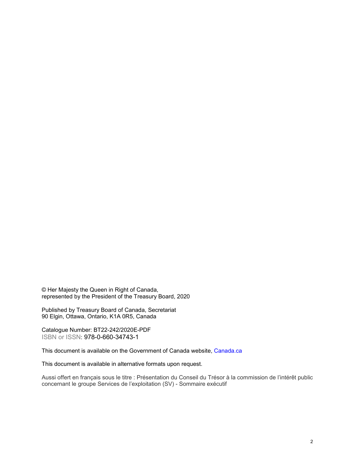© Her Majesty the Queen in Right of Canada, represented by the President of the Treasury Board, 2020

Published by Treasury Board of Canada, Secretariat 90 Elgin, Ottawa, Ontario, K1A 0R5, Canada

Catalogue Number: BT22-242/2020E-PDF ISBN or ISSN: 978-0-660-34743-1

This document is available on the Government of Canada website, [Canada.](https://www.canada.ca/en.html)ca

This document is available in alternative formats upon request.

Aussi offert en français sous le titre : Présentation du Conseil du Trésor à la commission de l'intérêt public concernant le groupe Services de l'exploitation (SV) - Sommaire exécutif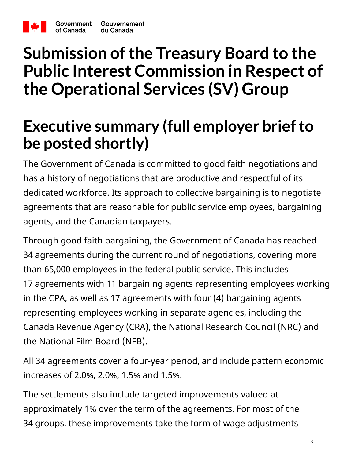

of Canada

# **Submission of the Treasury Board to the Public Interest Commission in Respect of the Operational Services (SV) Group**

# **Executive summary (full employer brief to be posted shortly)**

The Government of Canada is committed to good faith negotiations and has a history of negotiations that are productive and respectful of its dedicated workforce. Its approach to collective bargaining is to negotiate agreements that are reasonable for public service employees, bargaining agents, and the Canadian taxpayers.

Through good faith bargaining, the Government of Canada has reached 34 agreements during the current round of negotiations, covering more than 65,000 employees in the federal public service. This includes 17 agreements with 11 bargaining agents representing employees working in the CPA, as well as 17 agreements with four (4) bargaining agents representing employees working in separate agencies, including the Canada Revenue Agency (CRA), the National Research Council (NRC) and the National Film Board (NFB).

All 34 agreements cover a four-year period, and include pattern economic increases of 2.0%, 2.0%, 1.5% and 1.5%.

The settlements also include targeted improvements valued at approximately 1% over the term of the agreements. For most of the 34 groups, these improvements take the form of wage adjustments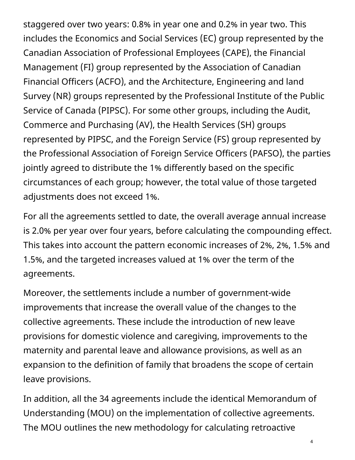staggered over two years: 0.8% in year one and 0.2% in year two. This includes the Economics and Social Services (EC) group represented by the Canadian Association of Professional Employees (CAPE), the Financial Management (FI) group represented by the Association of Canadian Financial Officers (ACFO), and the Architecture, Engineering and land Survey (NR) groups represented by the Professional Institute of the Public Service of Canada (PIPSC). For some other groups, including the Audit, Commerce and Purchasing (AV), the Health Services (SH) groups represented by PIPSC, and the Foreign Service (FS) group represented by the Professional Association of Foreign Service Officers (PAFSO), the parties jointly agreed to distribute the 1% differently based on the specific circumstances of each group; however, the total value of those targeted adjustments does not exceed 1%.

For all the agreements settled to date, the overall average annual increase is 2.0% per year over four years, before calculating the compounding effect. This takes into account the pattern economic increases of 2%, 2%, 1.5% and 1.5%, and the targeted increases valued at 1% over the term of the agreements.

Moreover, the settlements include a number of government-wide improvements that increase the overall value of the changes to the collective agreements. These include the introduction of new leave provisions for domestic violence and caregiving, improvements to the maternity and parental leave and allowance provisions, as well as an expansion to the definition of family that broadens the scope of certain leave provisions.

In addition, all the 34 agreements include the identical Memorandum of Understanding (MOU) on the implementation of collective agreements. The MOU outlines the new methodology for calculating retroactive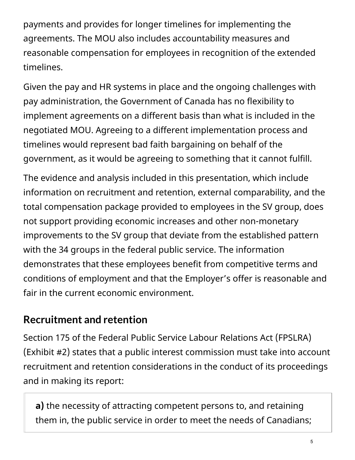payments and provides for longer timelines for implementing the agreements. The MOU also includes accountability measures and reasonable compensation for employees in recognition of the extended timelines.

Given the pay and HR systems in place and the ongoing challenges with pay administration, the Government of Canada has no flexibility to implement agreements on a different basis than what is included in the negotiated MOU. Agreeing to a different implementation process and timelines would represent bad faith bargaining on behalf of the government, as it would be agreeing to something that it cannot fulfill.

The evidence and analysis included in this presentation, which include information on recruitment and retention, external comparability, and the total compensation package provided to employees in the SV group, does not support providing economic increases and other non-monetary improvements to the SV group that deviate from the established pattern with the 34 groups in the federal public service. The information demonstrates that these employees benefit from competitive terms and conditions of employment and that the Employer's offer is reasonable and fair in the current economic environment.

#### **Recruitment and retention**

Section 175 of the Federal Public Service Labour Relations Act (FPSLRA) (Exhibit #2) states that a public interest commission must take into account recruitment and retention considerations in the conduct of its proceedings and in making its report:

**a)** the necessity of attracting competent persons to, and retaining them in, the public service in order to meet the needs of Canadians;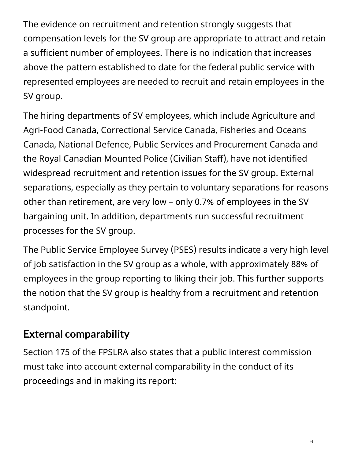The evidence on recruitment and retention strongly suggests that compensation levels for the SV group are appropriate to attract and retain a sufficient number of employees. There is no indication that increases above the pattern established to date for the federal public service with represented employees are needed to recruit and retain employees in the SV group.

The hiring departments of SV employees, which include Agriculture and Agri-Food Canada, Correctional Service Canada, Fisheries and Oceans Canada, National Defence, Public Services and Procurement Canada and the Royal Canadian Mounted Police (Civilian Staff), have not identified widespread recruitment and retention issues for the SV group. External separations, especially as they pertain to voluntary separations for reasons other than retirement, are very low – only 0.7% of employees in the SV bargaining unit. In addition, departments run successful recruitment processes for the SV group.

The Public Service Employee Survey (PSES) results indicate a very high level of job satisfaction in the SV group as a whole, with approximately 88% of employees in the group reporting to liking their job. This further supports the notion that the SV group is healthy from a recruitment and retention standpoint.

### **External comparability**

Section 175 of the FPSLRA also states that a public interest commission must take into account external comparability in the conduct of its proceedings and in making its report: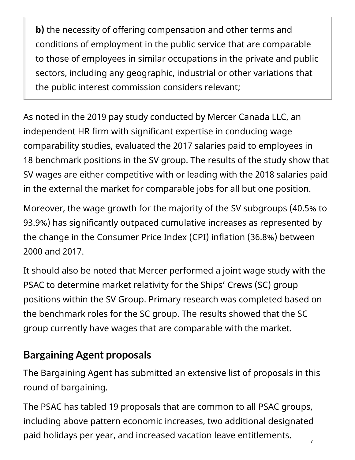**b)** the necessity of offering compensation and other terms and conditions of employment in the public service that are comparable to those of employees in similar occupations in the private and public sectors, including any geographic, industrial or other variations that the public interest commission considers relevant;

As noted in the 2019 pay study conducted by Mercer Canada LLC, an independent HR firm with significant expertise in conducing wage comparability studies, evaluated the 2017 salaries paid to employees in 18 benchmark positions in the SV group. The results of the study show that SV wages are either competitive with or leading with the 2018 salaries paid in the external the market for comparable jobs for all but one position.

Moreover, the wage growth for the majority of the SV subgroups (40.5% to 93.9%) has significantly outpaced cumulative increases as represented by the change in the Consumer Price Index (CPI) inflation (36.8%) between 2000 and 2017.

It should also be noted that Mercer performed a joint wage study with the PSAC to determine market relativity for the Ships' Crews (SC) group positions within the SV Group. Primary research was completed based on the benchmark roles for the SC group. The results showed that the SC group currently have wages that are comparable with the market.

#### **Bargaining Agent proposals**

The Bargaining Agent has submitted an extensive list of proposals in this round of bargaining.

The PSAC has tabled 19 proposals that are common to all PSAC groups, including above pattern economic increases, two additional designated paid holidays per year, and increased vacation leave entitlements. 7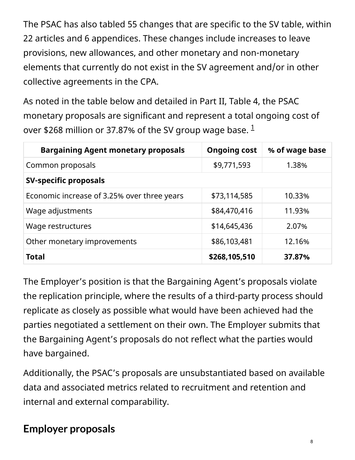The PSAC has also tabled 55 changes that are specific to the SV table, within 22 articles and 6 appendices. These changes include increases to leave provisions, new allowances, and other monetary and non-monetary elements that currently do not exist in the SV agreement and/or in other collective agreements in the CPA.

As noted in the table below and detailed in Part II, Table 4, the PSAC monetary proposals are significant and represent a total ongoing cost of over \$268 million or 37.87% of the SV group wage base.  $^1$ 

| <b>Bargaining Agent monetary proposals</b>  | <b>Ongoing cost</b> | % of wage base |  |  |
|---------------------------------------------|---------------------|----------------|--|--|
| Common proposals                            | \$9,771,593         | 1.38%          |  |  |
| <b>SV-specific proposals</b>                |                     |                |  |  |
| Economic increase of 3.25% over three years | \$73,114,585        | 10.33%         |  |  |
| Wage adjustments                            | \$84,470,416        | 11.93%         |  |  |
| Wage restructures                           | \$14,645,436        | 2.07%          |  |  |
| Other monetary improvements                 | \$86,103,481        | 12.16%         |  |  |
| <b>Total</b>                                | \$268,105,510       | 37.87%         |  |  |

The Employer's position is that the Bargaining Agent's proposals violate the replication principle, where the results of a third-party process should replicate as closely as possible what would have been achieved had the parties negotiated a settlement on their own. The Employer submits that the Bargaining Agent's proposals do not reflect what the parties would have bargained.

Additionally, the PSAC's proposals are unsubstantiated based on available data and associated metrics related to recruitment and retention and internal and external comparability.

### **Employer proposals**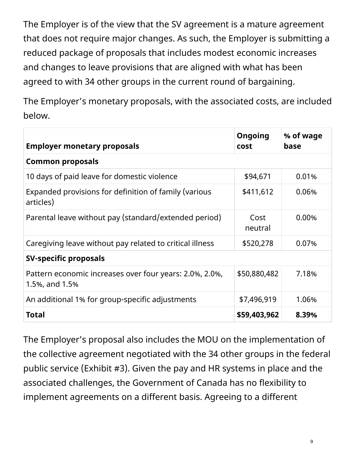The Employer is of the view that the SV agreement is a mature agreement that does not require major changes. As such, the Employer is submitting a reduced package of proposals that includes modest economic increases and changes to leave provisions that are aligned with what has been agreed to with 34 other groups in the current round of bargaining.

The Employer's monetary proposals, with the associated costs, are included below.

| <b>Employer monetary proposals</b>                                        | <b>Ongoing</b><br>cost | % of wage<br>base |  |
|---------------------------------------------------------------------------|------------------------|-------------------|--|
| <b>Common proposals</b>                                                   |                        |                   |  |
| 10 days of paid leave for domestic violence                               | \$94,671               | 0.01%             |  |
| Expanded provisions for definition of family (various<br>articles)        | \$411,612              | 0.06%             |  |
| Parental leave without pay (standard/extended period)                     | Cost<br>neutral        | 0.00%             |  |
| Caregiving leave without pay related to critical illness                  | \$520,278              | 0.07%             |  |
| <b>SV-specific proposals</b>                                              |                        |                   |  |
| Pattern economic increases over four years: 2.0%, 2.0%,<br>1.5%, and 1.5% | \$50,880,482           | 7.18%             |  |
| An additional 1% for group-specific adjustments                           | \$7,496,919            | 1.06%             |  |
| <b>Total</b>                                                              | \$59,403,962           | 8.39%             |  |

The Employer's proposal also includes the MOU on the implementation of the collective agreement negotiated with the 34 other groups in the federal public service (Exhibit #3). Given the pay and HR systems in place and the associated challenges, the Government of Canada has no flexibility to implement agreements on a different basis. Agreeing to a different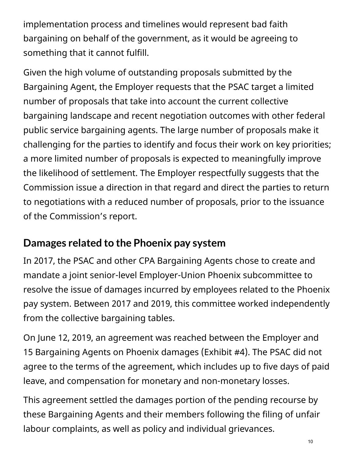implementation process and timelines would represent bad faith bargaining on behalf of the government, as it would be agreeing to something that it cannot fulfill.

Given the high volume of outstanding proposals submitted by the Bargaining Agent, the Employer requests that the PSAC target a limited number of proposals that take into account the current collective bargaining landscape and recent negotiation outcomes with other federal public service bargaining agents. The large number of proposals make it challenging for the parties to identify and focus their work on key priorities; a more limited number of proposals is expected to meaningfully improve the likelihood of settlement. The Employer respectfully suggests that the Commission issue a direction in that regard and direct the parties to return to negotiations with a reduced number of proposals, prior to the issuance of the Commission's report.

#### **Damages related to the Phoenix pay system**

In 2017, the PSAC and other CPA Bargaining Agents chose to create and mandate a joint senior-level Employer-Union Phoenix subcommittee to resolve the issue of damages incurred by employees related to the Phoenix pay system. Between 2017 and 2019, this committee worked independently from the collective bargaining tables.

On June 12, 2019, an agreement was reached between the Employer and 15 Bargaining Agents on Phoenix damages (Exhibit #4). The PSAC did not agree to the terms of the agreement, which includes up to five days of paid leave, and compensation for monetary and non-monetary losses.

This agreement settled the damages portion of the pending recourse by these Bargaining Agents and their members following the filing of unfair labour complaints, as well as policy and individual grievances.